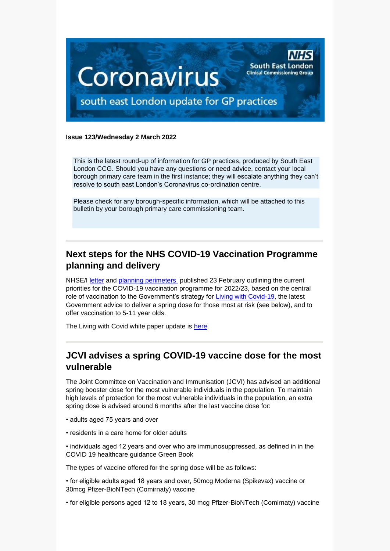

#### **Issue 123/Wednesday 2 March 2022**

This is the latest round-up of information for GP practices, produced by South East London CCG. Should you have any questions or need advice, contact your local borough primary care team in the first instance; they will escalate anything they can't resolve to south east London's Coronavirus co-ordination centre.

Please check for any borough-specific information, which will be attached to this bulletin by your borough primary care commissioning team.

# **Next steps for the NHS COVID-19 Vaccination Programme planning and delivery**

NHSE/I [letter](https://selondonccg.nhs.uk/wp-content/uploads/2022/02/C1597-Next-steps-for-the-NHS-COVID-19-Vaccination-Programme-planning-and-delivery.pdf) and [planning perimeters](https://selondonccg.nhs.uk/wp-content/uploads/2022/02/C1597-Planning-parameters-for-2022-23.pdf) published 23 February outlining the current priorities for the COVID-19 vaccination programme for 2022/23, based on the central role of vaccination to the Government's strategy for [Living with Covid-19,](https://assets.publishing.service.gov.uk/government/uploads/system/uploads/attachment_data/file/1056229/COVID-19_Response_-_Living_with_COVID-19.pdf) the latest Government advice to deliver a spring dose for those most at risk (see below), and to offer vaccination to 5-11 year olds.

The Living with Covid white paper update is [here.](https://selondonccg.nhs.uk/wp-content/uploads/2022/02/C1594_Living-with-COVID-19-white-paper-update_230222-003.pdf)

## **JCVI advises a spring COVID-19 vaccine dose for the most vulnerable**

The Joint Committee on Vaccination and Immunisation (JCVI) has advised an additional spring booster dose for the most vulnerable individuals in the population. To maintain high levels of protection for the most vulnerable individuals in the population, an extra spring dose is advised around 6 months after the last vaccine dose for:

- adults aged 75 years and over
- residents in a care home for older adults
- individuals aged 12 years and over who are immunosuppressed, as defined in in the COVID 19 healthcare guidance Green Book

The types of vaccine offered for the spring dose will be as follows:

• for eligible adults aged 18 years and over, 50mcg Moderna (Spikevax) vaccine or 30mcg Pfizer-BioNTech (Comirnaty) vaccine

• for eligible persons aged 12 to 18 years, 30 mcg Pfizer-BioNTech (Comirnaty) vaccine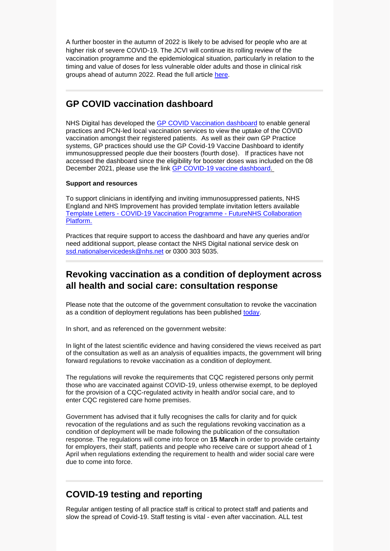A further booster in the autumn of 2022 is likely to be advised for people who are at higher risk of severe COVID-19. The JCVI will continue its rolling review of the vaccination programme and the epidemiological situation, particularly in relation to the timing and value of doses for less vulnerable older adults and those in clinical risk groups ahead of autumn 2022. Read the full article [here.](https://www.gov.uk/government/news/jcvi-advises-a-spring-covid-19-vaccine-dose-for-the-most-vulnerable)

### **GP COVID vaccination dashboard**

NHS Digital has developed the [GP COVID Vaccination dashboard](https://digital.nhs.uk/dashboards/gp-covid-19-vaccine-dashboard#queries-and-support) to enable general practices and PCN-led local vaccination services to view the uptake of the COVID vaccination amongst their registered patients. As well as their own GP Practice systems, GP practices should use the GP Covid-19 Vaccine Dashboard to identify immunosuppressed people due their boosters (fourth dose). If practices have not accessed the dashboard since the eligibility for booster doses was included on the 08 December 2021, please use the link [GP COVID-19 vaccine dashboard.](https://digital.nhs.uk/dashboards/gp-covid-19-vaccine-dashboard#queries-and-support)

#### **Support and resources**

To support clinicians in identifying and inviting immunosuppressed patients, NHS England and NHS Improvement has provided template invitation letters available Template Letters - [COVID-19 Vaccination Programme -](https://future.nhs.uk/connect.ti/CovidVaccinations/view?objectId=32479088) FutureNHS Collaboration [Platform.](https://future.nhs.uk/connect.ti/CovidVaccinations/view?objectId=32479088)

Practices that require support to access the dashboard and have any queries and/or need additional support, please contact the NHS Digital national service desk on [ssd.nationalservicedesk@nhs.net](mailto:ssd.nationalservicedesk@nhs.net) or 0300 303 5035.

## **Revoking vaccination as a condition of deployment across all health and social care: consultation response**

Please note that the outcome of the government consultation to revoke the vaccination as a condition of deployment regulations has been published [today.](https://www.gov.uk/government/consultations/revoking-vaccination-as-a-condition-of-deployment-across-all-health-and-social-care)

In short, and as referenced on the government website:

In light of the latest scientific evidence and having considered the views received as part of the consultation as well as an analysis of equalities impacts, the government will bring forward regulations to revoke vaccination as a condition of deployment.

The regulations will revoke the requirements that CQC registered persons only permit those who are vaccinated against COVID-19, unless otherwise exempt, to be deployed for the provision of a CQC-regulated activity in health and/or social care, and to enter CQC registered care home premises.

Government has advised that it fully recognises the calls for clarity and for quick revocation of the regulations and as such the regulations revoking vaccination as a condition of deployment will be made following the publication of the consultation response. The regulations will come into force on **15 March** in order to provide certainty for employers, their staff, patients and people who receive care or support ahead of 1 April when regulations extending the requirement to health and wider social care were due to come into force.

## **COVID-19 testing and reporting**

Regular antigen testing of all practice staff is critical to protect staff and patients and slow the spread of Covid-19. Staff testing is vital - even after vaccination. ALL test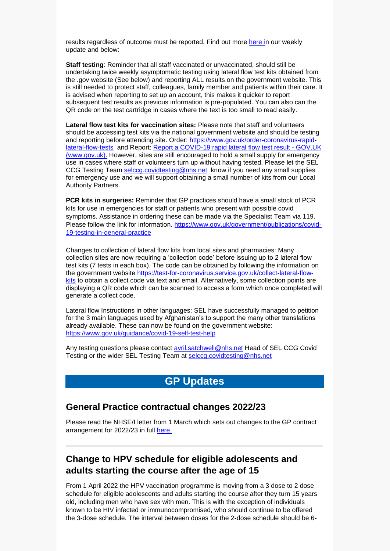results regardless of outcome must be reported. Find out more [here](https://selondonccg.nhs.uk/wp-content/uploads/2022/02/GP-bulletin-key-messages-25-Feb-2022.pdf) in our weekly update and below:

**Staff testing**: Reminder that all staff vaccinated or unvaccinated, should still be undertaking twice weekly asymptomatic testing using lateral flow test kits obtained from the .gov website (See below) and reporting ALL results on the government website. This is still needed to protect staff, colleagues, family member and patients within their care. It is advised when reporting to set up an account, this makes it quicker to report subsequent test results as previous information is pre-populated. You can also can the QR code on the test cartridge in cases where the text is too small to read easily.

**Lateral flow test kits for vaccination sites:** Please note that staff and volunteers should be accessing test kits via the national government website and should be testing and reporting before attending site. Order: [https://www.gov.uk/order-coronavirus-rapid](https://www.gov.uk/order-coronavirus-rapid-lateral-flow-tests)[lateral-flow-tests](https://www.gov.uk/order-coronavirus-rapid-lateral-flow-tests) and Report: [Report a COVID-19 rapid lateral flow test result -](https://www.gov.uk/report-covid19-result) GOV.UK [\(www.gov.uk\).](https://www.gov.uk/report-covid19-result) However, sites are still encouraged to hold a small supply for emergency use in cases where staff or volunteers turn up without having tested. Please let the SEL CCG Testing Team [selccg.covidtesting@nhs.net](mailto:selccg.covidtesting@nhs.net) know if you need any small supplies for emergency use and we will support obtaining a small number of kits from our Local Authority Partners.

**PCR kits in surgeries:** Reminder that GP practices should have a small stock of PCR kits for use in emergencies for staff or patients who present with possible covid symptoms. Assistance in ordering these can be made via the Specialist Team via 119. Please follow the link for information. [https://www.gov.uk/government/publications/covid-](https://www.gov.uk/government/publications/covid-19-testing-in-general-practice)[19-testing-in-general-practice](https://www.gov.uk/government/publications/covid-19-testing-in-general-practice)

Changes to collection of lateral flow kits from local sites and pharmacies: Many collection sites are now requiring a 'collection code' before issuing up to 2 lateral flow test kits (7 tests in each box). The code can be obtained by following the information on the government website [https://test-for-coronavirus.service.gov.uk/collect-lateral-flow](https://test-for-coronavirus.service.gov.uk/collect-lateral-flow-kits)[kits](https://test-for-coronavirus.service.gov.uk/collect-lateral-flow-kits) to obtain a collect code via text and email. Alternatively, some collection points are displaying a QR code which can be scanned to access a form which once completed will generate a collect code.

Lateral flow Instructions in other languages: SEL have successfully managed to petition for the 3 main languages used by Afghanistan's to support the many other translations already available. These can now be found on the government website: <https://www.gov.uk/guidance/covid-19-self-test-help>

Any testing questions please contact [avril.satchwell@nhs.net](mailto:avril.satchwell@nhs.net) Head of SEL CCG Covid Testing or the wider SEL Testing Team at [selccg.covidtesting@nhs.net](mailto:selccg.covidtesting@nhs.net)

## **GP Updates**

#### **General Practice contractual changes 2022/23**

Please read the NHSE/I letter from 1 March which sets out changes to the GP contract arrangement for 2022/23 in full [here.](https://selondonccg.nhs.uk/wp-content/uploads/2022/03/B1375_Letter-re-General-practice-contract-arrangements-in-2022-23_010322.pdf)

## **Change to HPV schedule for eligible adolescents and adults starting the course after the age of 15**

From 1 April 2022 the HPV vaccination programme is moving from a 3 dose to 2 dose schedule for eligible adolescents and adults starting the course after they turn 15 years old, including men who have sex with men. This is with the exception of individuals known to be HIV infected or immunocompromised, who should continue to be offered the 3-dose schedule. The interval between doses for the 2-dose schedule should be 6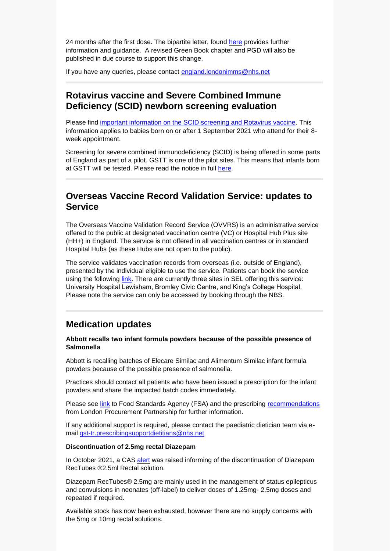24 months after the first dose. The bipartite letter, found [here](https://www.gov.uk/government/publications/hpv-immunisation-programme-changes-from-april-2022-letter) provides further information and guidance. A revised Green Book chapter and PGD will also be published in due course to support this change.

If you have any queries, please contact [england.londonimms@nhs.net](mailto:england.londonimms@nhs.net)

### **Rotavirus vaccine and Severe Combined Immune Deficiency (SCID) newborn screening evaluation**

Please find [important information on the SCID screening and Rotavirus vaccine.](https://assets.publishing.service.gov.uk/government/uploads/system/uploads/attachment_data/file/1018712/UKHSA_12109_Rotarix__and_SCID_factsheet_for_HCPs.pdf) This information applies to babies born on or after 1 September 2021 who attend for their 8 week appointment.

Screening for severe combined immunodeficiency (SCID) is being offered in some parts of England as part of a pilot. GSTT is one of the pilot sites. This means that infants born at GSTT will be tested. Please read the notice in full [here.](https://selondonccg.nhs.uk/wp-content/uploads/2022/03/Rotavirus-vaccine-and-Severe-Combined-Immune-Deficiency-SCID-newborn-screening-evaluation.docx)

### **Overseas Vaccine Record Validation Service: updates to Service**

The Overseas Vaccine Validation Record Service (OVVRS) is an administrative service offered to the public at designated vaccination centre (VC) or Hospital Hub Plus site (HH+) in England. The service is not offered in all vaccination centres or in standard Hospital Hubs (as these Hubs are not open to the public).

The service validates vaccination records from overseas (i.e. outside of England), presented by the individual eligible to use the service. Patients can book the service using the following [link.](https://www.nhs.uk/conditions/coronavirus-covid-19/coronavirus-vaccination/tell-nhs-about-coronavirus-vaccinations-abroad/) There are currently three sites in SEL offering this service: University Hospital Lewisham, Bromley Civic Centre, and King's College Hospital. Please note the service can only be accessed by booking through the NBS.

## **Medication updates**

#### **Abbott recalls two infant formula powders because of the possible presence of Salmonella**

Abbott is recalling batches of Elecare Similac and Alimentum Similac infant formula powders because of the possible presence of salmonella.

Practices should contact all patients who have been issued a prescription for the infant powders and share the impacted batch codes immediately.

Please see [link](https://www.food.gov.uk/news-alerts/alert/fsa-prin-11-2022) to Food Standards Agency (FSA) and the prescribing [recommendations](https://selondonccg.nhs.uk/healthcare-professionals/medicines-optimisation/south-east-london-medicines-optimisation-team/medication-updates/) from London Procurement Partnership for further information.

If any additional support is required, please contact the paediatric dietician team via email [gst-tr.prescribingsupportdietitians@nhs.net](mailto:gst-tr.prescribingsupportdietitians@nhs.net)

#### **Discontinuation of 2.5mg rectal Diazepam**

In October 2021, a CAS [alert](https://www.cas.mhra.gov.uk/ViewandAcknowledgment/ViewAttachment.aspx?Attachment_id=103848) was raised informing of the discontinuation of Diazepam RecTubes ®2.5ml Rectal solution.

Diazepam RecTubes® 2.5mg are mainly used in the management of status epilepticus and convulsions in neonates (off-label) to deliver doses of 1.25mg- 2.5mg doses and repeated if required.

Available stock has now been exhausted, however there are no supply concerns with the 5mg or 10mg rectal solutions.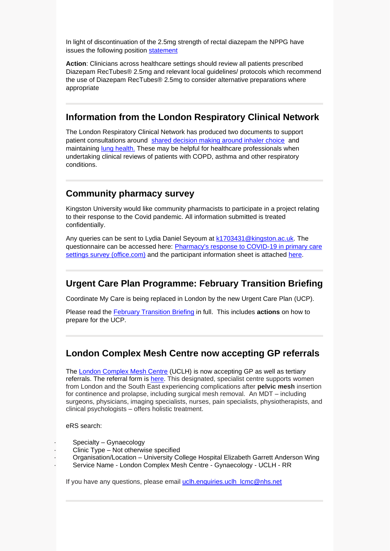In light of discontinuation of the 2.5mg strength of rectal diazepam the NPPG have issues the following position [statement](http://nppg.org.uk/wp-content/uploads/2022/02/NPPG-Position-Statement-Diazepam-V1.pdf?UNLID=22072172920222207254)

**Action**: Clinicians across healthcare settings should review all patients prescribed Diazepam RecTubes® 2.5mg and relevant local guidelines/ protocols which recommend the use of Diazepam RecTubes® 2.5mg to consider alternative preparations where appropriate

#### **Information from the London Respiratory Clinical Network**

The London Respiratory Clinical Network has produced two documents to support patient consultations around [shared decision making around inhaler choice](https://selondonccg.nhs.uk/wp-content/uploads/2022/03/Respiratory-Prescribing-Top-Tips-and-Sustainability-Leaflet-FINAL.LCEG-pdf.pdf) and maintaining [lung health.](https://selondonccg.nhs.uk/wp-content/uploads/2022/03/TOP-TIPS-FOR-LUNG-HEALTH-v3.1-1.pdf) These may be helpful for healthcare professionals when undertaking clinical reviews of patients with COPD, asthma and other respiratory conditions.

#### **Community pharmacy survey**

Kingston University would like community pharmacists to participate in a project relating to their response to the Covid pandemic. All information submitted is treated confidentially.

Any queries can be sent to Lydia Daniel Seyoum at [k1703431@kingston.ac.uk.](mailto:k1703431@kingston.ac.uk) The questionnaire can be accessed here: [Pharmacy's response to COVID-19 in primary care](https://forms.office.com/Pages/ResponsePage.aspx?id=nALvyc8YFkCG05PPjpT_lPiRFaF3yYtLk0uB_u0QlZJURFk3UFhHUk9DRFlaMkEySVFWWkE2TE83Ty4u&wdLOR=c755CF20F-0AE1-4267-8112-D6AE786A13C3)  [settings survey \(office.com\)](https://forms.office.com/Pages/ResponsePage.aspx?id=nALvyc8YFkCG05PPjpT_lPiRFaF3yYtLk0uB_u0QlZJURFk3UFhHUk9DRFlaMkEySVFWWkE2TE83Ty4u&wdLOR=c755CF20F-0AE1-4267-8112-D6AE786A13C3) and the participant information sheet is attached [here.](https://view.officeapps.live.com/op/view.aspx?src=https%3A%2F%2Fselondonccg.nhs.uk%2Fwp-content%2Fuploads%2F2022%2F03%2FParticipation-Information-sheet-Amended-19Jan22-Copy.docx&wdOrigin=BROWSELINK)

### **Urgent Care Plan Programme: February Transition Briefing**

Coordinate My Care is being replaced in London by the new Urgent Care Plan (UCP).

Please read the [February Transition Briefing](https://selondonccg.nhs.uk/wp-content/uploads/2022/02/UCP-Feb-briefing.docx) in full. This includes **actions** on how to prepare for the UCP.

## **London Complex Mesh Centre now accepting GP referrals**

The [London Complex Mesh Centre](https://www.uclh.nhs.uk/our-services/find-service/womens-health-1/gynaecology/london-complex-mesh-centre) (UCLH) is now accepting GP as well as tertiary referrals. The referral form is [here.](https://www.uclh.nhs.uk/our-services/find-service/womens-health-1/gynaecology/london-complex-mesh-centre) This designated, specialist centre supports women from London and the South East experiencing complications after **pelvic mesh** insertion for continence and prolapse, including surgical mesh removal. An MDT – including surgeons, physicians, imaging specialists, nurses, pain specialists, physiotherapists, and clinical psychologists – offers holistic treatment.

eRS search:

- Specialty Gynaecology
- Clinic Type Not otherwise specified
- · Organisation/Location University College Hospital Elizabeth Garrett Anderson Wing
- Service Name London Complex Mesh Centre Gynaecology UCLH RR

If you have any questions, please email [uclh.enquiries.uclh\\_lcmc@nhs.net](mailto:uclh.enquiries.uclh_lcmc@nhs.net)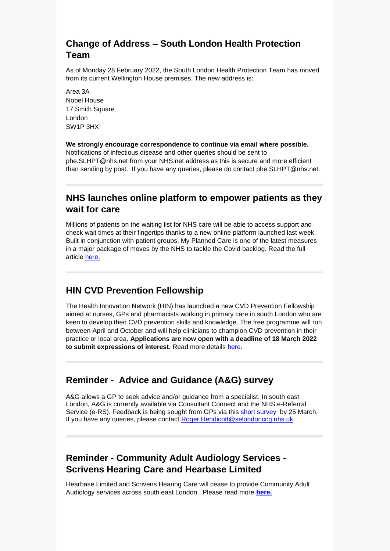# **Change of Address – South London Health Protection Team**

As of Monday 28 February 2022, the South London Health Protection Team has moved from its current Wellington House premises. The new address is:

Area 3A Nobel House 17 Smith Square London SW1P 3HX

**We strongly encourage correspondence to continue via email where possible.**  Notifications of infectious disease and other queries should be sent to [phe.SLHPT@nhs.net](mailto:phe.SLHPT@nhs.net) from your NHS.net address as this is secure and more efficient than sending by post. If you have any queries, please do contact [phe.SLHPT@nhs.net.](mailto:phe.SLHPT@nhs.net)

## **NHS launches online platform to empower patients as they wait for care**

Millions of patients on the waiting list for NHS care will be able to access support and check wait times at their fingertips thanks to a new online platform launched last week. Built in conjunction with patient groups, My Planned Care is one of the latest measures in a major package of moves by the NHS to tackle the Covid backlog. Read the full article [here.](https://www.england.nhs.uk/2022/02/nhs-launches-online-platform-to-empower-patients-as-they-wait-for-care/)

## **HIN CVD Prevention Fellowship**

The Health Innovation Network (HIN) has launched a new CVD Prevention Fellowship aimed at nurses, GPs and pharmacists working in primary care in south London who are keen to develop their CVD prevention skills and knowledge. The free programme will run between April and October and will help clinicians to champion CVD prevention in their practice or local area. **Applications are now open with a deadline of 18 March 2022 to submit expressions of interest.** Read more details [here.](https://healthinnovationnetwork.com/insight/applications-open-for-the-hins-first-ever-cardiovascular-disease-prevention-fellowship-programme/)

### **Reminder - Advice and Guidance (A&G) survey**

A&G allows a GP to seek advice and/or guidance from a specialist. In south east London, A&G is currently available via Consultant Connect and the NHS e-Referral Service (e-RS). Feedback is being sought from GPs via this [short survey](https://forms.office.com/pages/responsepage.aspx?id=oZ5z9bnEj0uUivN-RCh6VJxRgeL8N_5EjNa8m8kkPSZURVcwM0JGOEpYWFBXQVNCRkc4NkpTRjdEUy4u&web=1&wdLOR=c129365B0-A496-4D0E-8FDC-1A4B42926E29) by 25 March. If you have any queries, please contact [Roger.Hendicott@selondonccg.nhs.uk](mailto:Roger.Hendicott@selondonccg.nhs.uk)

# **Reminder - Community Adult Audiology Services - Scrivens Hearing Care and Hearbase Limited**

Hearbase Limited and Scrivens Hearing Care will cease to provide Community Adult Audiology services across south east London. Please read more **[here.](https://selondonccg.nhs.uk/wp-content/uploads/2022/02/GP-Comms-Scrivens-and-Hearbase-Final.docx)**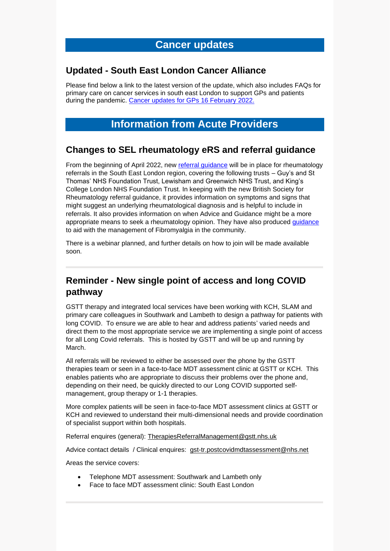## **Cancer updates**

#### **Updated - South East London Cancer Alliance**

Please find below a link to the latest version of the update, which also includes FAQs for primary care on cancer services in south east London to support GPs and patients during the pandemic. [Cancer updates for GPs 16](https://selondonccg.nhs.uk/wp-content/uploads/2022/02/SEL-Cancer-Updates-FAQs-for-Primary-Care-16-Feb-2022.pdf) February 2022.

# **Information from Acute Providers**

#### **Changes to SEL rheumatology eRS and referral guidance**

From the beginning of April 2022, new [referral guidance](https://selondonccg.nhs.uk/wp-content/uploads/2022/03/Rheumatology-referrals-and-triage-South-East-London-SOP.docx) will be in place for rheumatology referrals in the South East London region, covering the following trusts – Guy's and St Thomas' NHS Foundation Trust, Lewisham and Greenwich NHS Trust, and King's College London NHS Foundation Trust. In keeping with the new British Society for Rheumatology referral guidance, it provides information on symptoms and signs that might suggest an underlying rheumatological diagnosis and is helpful to include in referrals. It also provides information on when Advice and Guidance might be a more appropriate means to seek a rheumatology opinion. They have also produced [guidance](https://selondonccg.nhs.uk/wp-content/uploads/2022/03/South-East-London-Fibromyalgia-Guidance_.docx) to aid with the management of Fibromyalgia in the community.

There is a webinar planned, and further details on how to join will be made available soon.

## **Reminder - New single point of access and long COVID pathway**

GSTT therapy and integrated local services have been working with KCH, SLAM and primary care colleagues in Southwark and Lambeth to design a pathway for patients with long COVID. To ensure we are able to hear and address patients' varied needs and direct them to the most appropriate service we are implementing a single point of access for all Long Covid referrals. This is hosted by GSTT and will be up and running by March.

All referrals will be reviewed to either be assessed over the phone by the GSTT therapies team or seen in a face-to-face MDT assessment clinic at GSTT or KCH. This enables patients who are appropriate to discuss their problems over the phone and, depending on their need, be quickly directed to our Long COVID supported selfmanagement, group therapy or 1-1 therapies.

More complex patients will be seen in face-to-face MDT assessment clinics at GSTT or KCH and reviewed to understand their multi-dimensional needs and provide coordination of specialist support within both hospitals.

Referral enquires (general): [TherapiesReferralManagement@gstt.nhs.uk](mailto:TherapiesReferralManagement@gstt.nhs.uk)

Advice contact details / Clinical enquires: [gst-tr.postcovidmdtassessment@nhs.net](mailto:gst-tr.postcovidmdtassessment@nhs.net)

Areas the service covers:

- Telephone MDT assessment: Southwark and Lambeth only
- Face to face MDT assessment clinic: South East London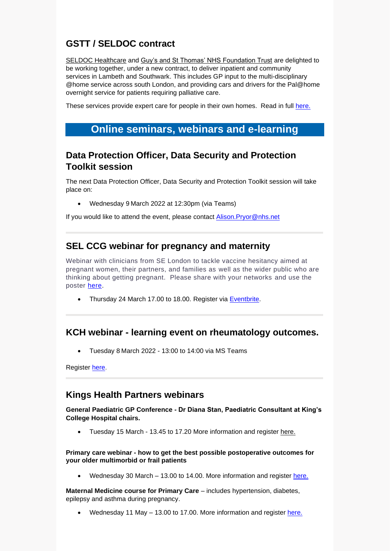# **GSTT / SELDOC contract**

[SELDOC Healthcare](https://scanmail.trustwave.com/?c=8248&d=lZae4noJL6Huxe1r9COSr_GCFPMhhS8Rg0_p1oJkhQ&u=https%3a%2f%2fwww%2eseldoc%2eco%2euk%2f) and [Guy's and St Thomas' NHS Foundation Trust](https://scanmail.trustwave.com/?c=8248&d=lZae4noJL6Huxe1r9COSr_GCFPMhhS8Rgx6529tnhw&u=https%3a%2f%2fwww%2eguysandstthomas%2enhs%2euk%2fHome%2easpx) are delighted to be working together, under a new contract, to deliver inpatient and community services in Lambeth and Southwark. This includes GP input to the multi-disciplinary @home service across south London, and providing cars and drivers for the Pal@home overnight service for patients requiring palliative care.

These services provide expert care for people in their own homes. Read in full [here.](https://selondonccg.nhs.uk/wp-content/uploads/2022/03/GSTT-SELDOC-contract.docx)

# **Online seminars, webinars and e-learning**

## **Data Protection Officer, Data Security and Protection Toolkit session**

The next Data Protection Officer, Data Security and Protection Toolkit session will take place on:

• Wednesday 9 March 2022 at 12:30pm (via Teams)

If you would like to attend the event, please contact Alison. Pryor@nhs.net

### **SEL CCG webinar for pregnancy and maternity**

Webinar with clinicians from SE London to tackle vaccine hesitancy aimed at pregnant women, their partners, and families as well as the wider public who are thinking about getting pregnant. Please share with your networks and use the poster [here.](https://selondonccg.nhs.uk/wp-content/uploads/2022/02/Pregnancy-and-fertility-webinar-poster_Mar-2022.pdf)

• Thursday 24 March 17.00 to 18.00. Register via [Eventbrite.](https://www.eventbrite.co.uk/e/covid-19-vaccination-webinar-pregnancy-and-maternity-tickets-287792403827)

### **KCH webinar - learning event on rheumatology outcomes.**

• Tuesday 8 March 2022 - 13:00 to 14:00 via MS Teams

Register [here.](https://www.eventbrite.co.uk/e/what-matters-most-patient-outcomes-online-event-tickets-267344764387)

#### **Kings Health Partners webinars**

**General Paediatric GP Conference - Dr Diana Stan, Paediatric Consultant at King's College Hospital chairs.** 

Tuesday 15 March - 13.45 to 17.20 More information and register [here.](https://www.eventbrite.co.uk/e/general-paediatrics-gp-conference-tickets-269571263907)

#### **Primary care webinar - how to get the best possible postoperative outcomes for your older multimorbid or frail patients**

Wednesday 30 March – 13.00 to 14.00. More information and register [here.](https://bit.ly/3AQnOxj)

**Maternal Medicine course for Primary Care** – includes hypertension, diabetes, epilepsy and asthma during pregnancy.

• Wednesday 11 May – 13.00 to 17.00. More information and register [here.](https://www.eventbrite.co.uk/e/maternal-medicine-course-for-primary-care-tickets-274753153077)